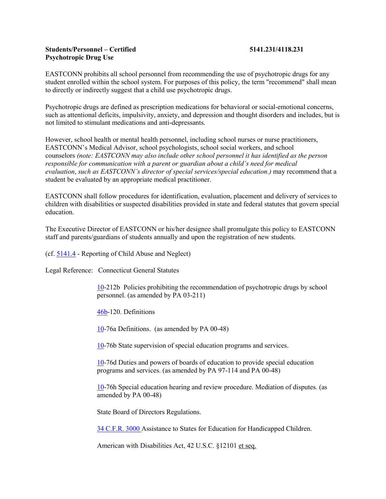## **Students/Personnel – Certified 5141.231/4118.231 Psychotropic Drug Use**

EASTCONN prohibits all school personnel from recommending the use of psychotropic drugs for any student enrolled within the school system. For purposes of this policy, the term "recommend" shall mean to directly or indirectly suggest that a child use psychotropic drugs.

Psychotropic drugs are defined as prescription medications for behavioral or social-emotional concerns, such as attentional deficits, impulsivity, anxiety, and depression and thought disorders and includes, but is not limited to stimulant medications and anti-depressants.

However, school health or mental health personnel, including school nurses or nurse practitioners, EASTCONN's Medical Advisor, school psychologists, school social workers, and school counselors *(note: EASTCONN may also include other school personnel it has identified as the person responsible for communication with a parent or guardian about a child's need for medical evaluation*, *such as EASTCONN's director of special services/special education.)* may recommend that a student be evaluated by an appropriate medical practitioner.

EASTCONN shall follow procedures for identification, evaluation, placement and delivery of services to children with disabilities or suspected disabilities provided in state and federal statutes that govern special education.

The Executive Director of EASTCONN or his/her designee shall promulgate this policy to EASTCONN staff and parents/guardians of students annually and upon the registration of new students.

(cf. [5141.4](http://z2policy.cabe.org/cabe/DocViewer.jsp?docid=302&z2collection=core#JD_5141.4) - Reporting of Child Abuse and Neglect)

Legal Reference: Connecticut General Statutes

[10-](http://www.cga.ct.gov/2011/pub/Title10.htm)212b Policies prohibiting the recommendation of psychotropic drugs by school personnel. (as amended by PA 03-211)

[46b-](http://www.cga.ct.gov/2011/pub/Title46b.htm)120. Definitions

[10-](http://www.cga.ct.gov/2011/pub/Title10.htm)76a Definitions. (as amended by PA 00-48)

[10-](http://www.cga.ct.gov/2011/pub/Title10.htm)76b State supervision of special education programs and services.

[10-](http://www.cga.ct.gov/2011/pub/Title10.htm)76d Duties and powers of boards of education to provide special education programs and services. (as amended by PA 97-114 and PA 00-48)

[10-](http://www.cga.ct.gov/2011/pub/Title10.htm)76h Special education hearing and review procedure. Mediation of disputes. (as amended by PA 00-48)

State Board of Directors Regulations.

[34 C.F.R. 3000](http://ecfr.gpoaccess.gov/cgi/t/text/text-idx?c=ecfr&sid=3e2e1216b93c81d88ce81839166407df&tpl=/ecfrbrowse/Title43/43cfr3832_main_02.tpl) Assistance to States for Education for Handicapped Children.

American with Disabilities Act, 42 U.S.C. §12101 et seq.